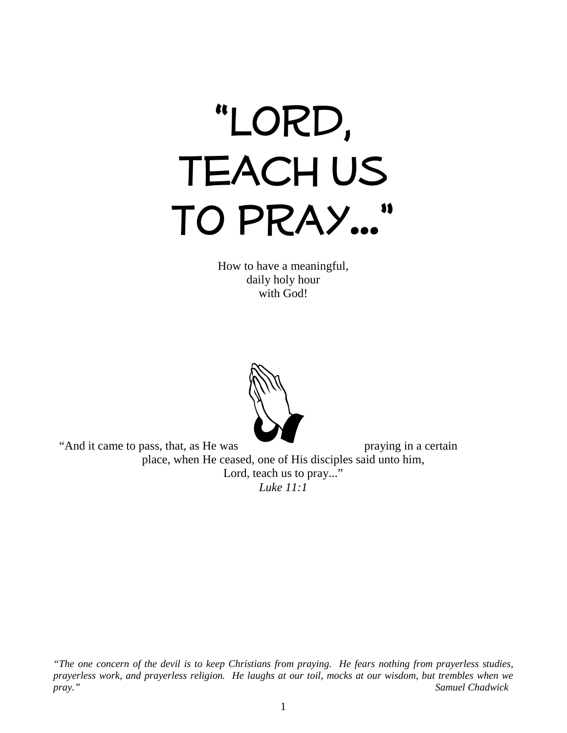

How to have a meaningful, daily holy hour with God!



"And it came to pass, that, as He was praying in a certain place, when He ceased, one of His disciples said unto him, Lord, teach us to pray..." *Luke 11:1* 

*"The one concern of the devil is to keep Christians from praying. He fears nothing from prayerless studies, prayerless work, and prayerless religion. He laughs at our toil, mocks at our wisdom, but trembles when we pray." Samuel Chadwick*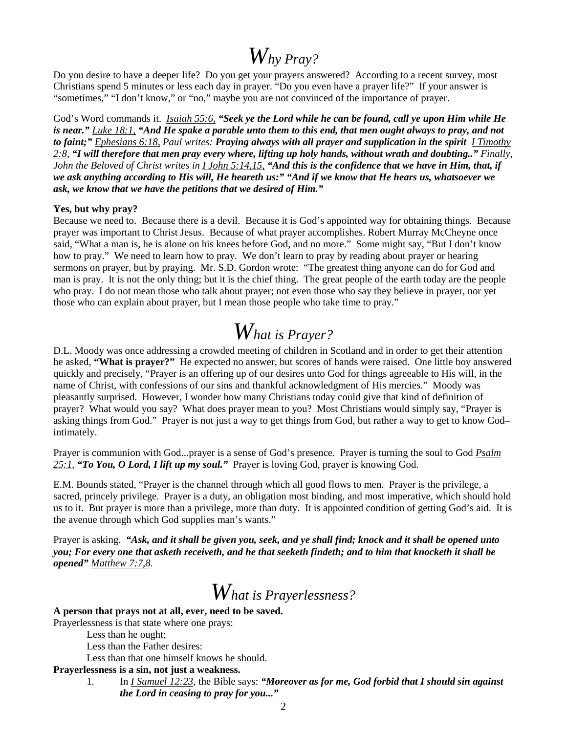### *Why Pray?*

Do you desire to have a deeper life? Do you get your prayers answered? According to a recent survey, most Christians spend 5 minutes or less each day in prayer. "Do you even have a prayer life?" If your answer is "sometimes," "I don't know," or "no," maybe you are not convinced of the importance of prayer.

God's Word commands it. *Isaiah 55:6, "Seek ye the Lord while he can be found, call ye upon Him while He is near." Luke 18:1, "And He spake a parable unto them to this end, that men ought always to pray, and not to faint;" Ephesians 6:18, Paul writes: Praying always with all prayer and supplication in the spirit I Timothy 2:8, "I will therefore that men pray every where, lifting up holy hands, without wrath and doubting.." Finally, John the Beloved of Christ writes in I John 5:14,15, "And this is the confidence that we have in Him, that, if we ask anything according to His will, He heareth us:" "And if we know that He hears us, whatsoever we ask, we know that we have the petitions that we desired of Him."*

#### **Yes, but why pray?**

Because we need to. Because there is a devil. Because it is God's appointed way for obtaining things. Because prayer was important to Christ Jesus. Because of what prayer accomplishes. Robert Murray McCheyne once said, "What a man is, he is alone on his knees before God, and no more." Some might say, "But I don't know how to pray." We need to learn how to pray. We don't learn to pray by reading about prayer or hearing sermons on prayer, but by praying. Mr. S.D. Gordon wrote: "The greatest thing anyone can do for God and man is pray. It is not the only thing; but it is the chief thing. The great people of the earth today are the people who pray. I do not mean those who talk about prayer; not even those who say they believe in prayer, nor yet those who can explain about prayer, but I mean those people who take time to pray."

# *What is Prayer?*

D.L. Moody was once addressing a crowded meeting of children in Scotland and in order to get their attention he asked, **"What is prayer?"** He expected no answer, but scores of hands were raised. One little boy answered quickly and precisely, "Prayer is an offering up of our desires unto God for things agreeable to His will, in the name of Christ, with confessions of our sins and thankful acknowledgment of His mercies." Moody was pleasantly surprised. However, I wonder how many Christians today could give that kind of definition of prayer? What would you say? What does prayer mean to you? Most Christians would simply say, "Prayer is asking things from God." Prayer is not just a way to get things from God, but rather a way to get to know God– intimately.

Prayer is communion with God...prayer is a sense of God's presence. Prayer is turning the soul to God *Psalm 25:1, "To You, O Lord, I lift up my soul."* Prayer is loving God, prayer is knowing God.

E.M. Bounds stated, "Prayer is the channel through which all good flows to men. Prayer is the privilege, a sacred, princely privilege. Prayer is a duty, an obligation most binding, and most imperative, which should hold us to it. But prayer is more than a privilege, more than duty. It is appointed condition of getting God's aid. It is the avenue through which God supplies man's wants."

Prayer is asking. *"Ask, and it shall be given you, seek, and ye shall find; knock and it shall be opened unto you; For every one that asketh receiveth, and he that seeketh findeth; and to him that knocketh it shall be opened" Matthew 7:7,8.*

# *What is Prayerlessness?*

**A person that prays not at all, ever, need to be saved.**

Prayerlessness is that state where one prays:

Less than he ought;

Less than the Father desires:

Less than that one himself knows he should.

**Prayerlessness is a sin, not just a weakness.**

 1. In *I Samuel 12:23,* the Bible says: *"Moreover as for me, God forbid that I should sin against the Lord in ceasing to pray for you..."*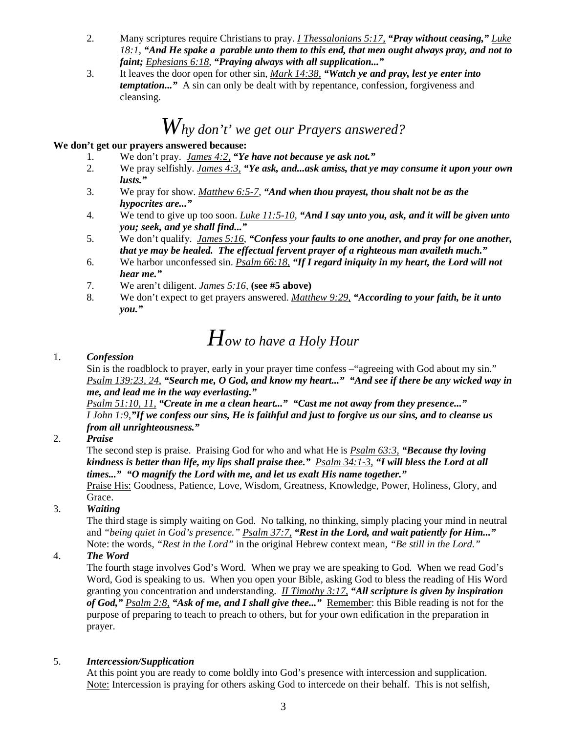- 2. Many scriptures require Christians to pray. *I Thessalonians 5:17, "Pray without ceasing," Luke 18:1, "And He spake a parable unto them to this end, that men ought always pray, and not to faint; Ephesians 6:18, "Praying always with all supplication..."*
- 3. It leaves the door open for other sin, *Mark 14:38, "Watch ye and pray, lest ye enter into temptation...*" A sin can only be dealt with by repentance, confession, forgiveness and cleansing.

### *Why don't' we get our Prayers answered?*

#### **We don't get our prayers answered because:**

- 1. We don't pray. *James 4:2, "Ye have not because ye ask not."*
- 2. We pray selfishly. *James 4:3, "Ye ask, and...ask amiss, that ye may consume it upon your own lusts."*
- 3. We pray for show. *Matthew 6:5-7*, *"And when thou prayest, thou shalt not be as the hypocrites are..."*
- 4. We tend to give up too soon. *Luke 11:5-10*, *"And I say unto you, ask, and it will be given unto you; seek, and ye shall find..."*
- 5. We don't qualify. *James 5:16*, *"Confess your faults to one another, and pray for one another, that ye may be healed. The effectual fervent prayer of a righteous man availeth much."*
- 6. We harbor unconfessed sin. *Psalm 66:18, "If I regard iniquity in my heart, the Lord will not hear me."*
- 7. We aren't diligent. *James 5:16,* **(see #5 above)**
- 8. We don't expect to get prayers answered. *Matthew 9:29, "According to your faith, be it unto you."*

# *How to have a Holy Hour*

#### 1. *Confession*

Sin is the roadblock to prayer, early in your prayer time confess –"agreeing with God about my sin."  *Psalm 139:23, 24, "Search me, O God, and know my heart..." "And see if there be any wicked way in me, and lead me in the way everlasting."*

 *Psalm 51:10, 11, "Create in me a clean heart..." "Cast me not away from they presence..." I John 1:9,"If we confess our sins, He is faithful and just to forgive us our sins, and to cleanse us from all unrighteousness."*

2. *Praise*

The second step is praise. Praising God for who and what He is *Psalm 63:3, "Because thy loving kindness is better than life, my lips shall praise thee." Psalm 34:1-3, "I will bless the Lord at all times..." "O magnify the Lord with me, and let us exalt His name together."*

Praise His: Goodness, Patience, Love, Wisdom, Greatness, Knowledge, Power, Holiness, Glory, and Grace.

#### 3. *Waiting*

The third stage is simply waiting on God. No talking, no thinking, simply placing your mind in neutral and *"being quiet in God's presence." Psalm 37:7, "Rest in the Lord, and wait patiently for Him..."* Note: the words, *"Rest in the Lord"* in the original Hebrew context mean, *"Be still in the Lord."* 

#### 4. *The Word*

The fourth stage involves God's Word. When we pray we are speaking to God. When we read God's Word, God is speaking to us. When you open your Bible, asking God to bless the reading of His Word granting you concentration and understanding. *II Timothy 3:17, "All scripture is given by inspiration of God," Psalm 2:8, "Ask of me, and I shall give thee..."* Remember: this Bible reading is not for the purpose of preparing to teach to preach to others, but for your own edification in the preparation in prayer.

#### 5. *Intercession/Supplication*

At this point you are ready to come boldly into God's presence with intercession and supplication. Note: Intercession is praying for others asking God to intercede on their behalf. This is not selfish,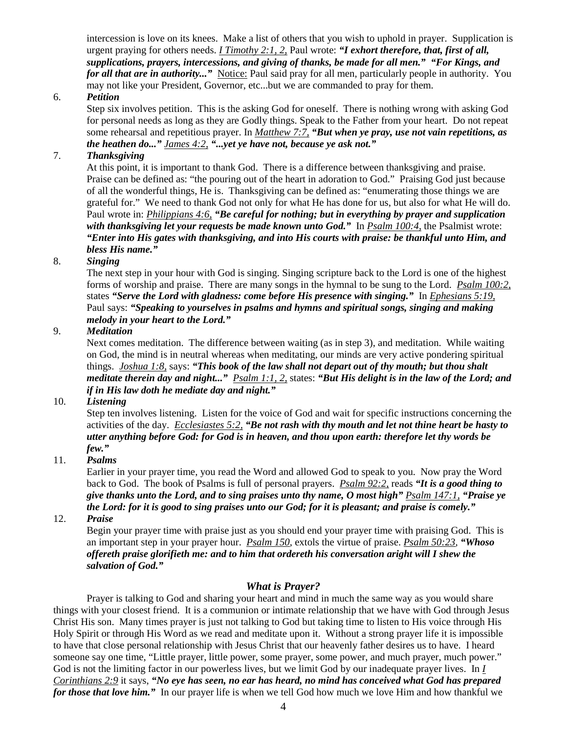intercession is love on its knees. Make a list of others that you wish to uphold in prayer. Supplication is urgent praying for others needs. *I Timothy 2:1, 2,* Paul wrote: *"I exhort therefore, that, first of all, supplications, prayers, intercessions, and giving of thanks, be made for all men." "For Kings, and for all that are in authority...*" Notice: Paul said pray for all men, particularly people in authority. You may not like your President, Governor, etc...but we are commanded to pray for them.

#### 6. *Petition*

Step six involves petition. This is the asking God for oneself. There is nothing wrong with asking God for personal needs as long as they are Godly things. Speak to the Father from your heart. Do not repeat some rehearsal and repetitious prayer. In *Matthew 7:7, "But when ye pray, use not vain repetitions, as the heathen do..." James 4:2, "...yet ye have not, because ye ask not."*

#### 7. *Thanksgiving*

At this point, it is important to thank God. There is a difference between thanksgiving and praise. Praise can be defined as: "the pouring out of the heart in adoration to God." Praising God just because of all the wonderful things, He is. Thanksgiving can be defined as: "enumerating those things we are grateful for." We need to thank God not only for what He has done for us, but also for what He will do. Paul wrote in: *Philippians 4:6, "Be careful for nothing; but in everything by prayer and supplication with thanksgiving let your requests be made known unto God."* In *Psalm 100:4,* the Psalmist wrote: *"Enter into His gates with thanksgiving, and into His courts with praise: be thankful unto Him, and bless His name."*

#### 8. *Singing*

The next step in your hour with God is singing. Singing scripture back to the Lord is one of the highest forms of worship and praise. There are many songs in the hymnal to be sung to the Lord. *Psalm 100:2,* states *"Serve the Lord with gladness: come before His presence with singing."* In *Ephesians 5:19,* Paul says: *"Speaking to yourselves in psalms and hymns and spiritual songs, singing and making melody in your heart to the Lord."*

#### 9. *Meditation*

Next comes meditation. The difference between waiting (as in step 3), and meditation. While waiting on God, the mind is in neutral whereas when meditating, our minds are very active pondering spiritual things. *Joshua 1:8,* says: *"This book of the law shall not depart out of thy mouth; but thou shalt meditate therein day and night..." Psalm 1:1, 2,* states: *"But His delight is in the law of the Lord; and if in His law doth he mediate day and night."*

#### 10. *Listening*

Step ten involves listening. Listen for the voice of God and wait for specific instructions concerning the activities of the day. *Ecclesiastes 5:2, "Be not rash with thy mouth and let not thine heart be hasty to utter anything before God: for God is in heaven, and thou upon earth: therefore let thy words be few."*

#### 11. *Psalms*

Earlier in your prayer time, you read the Word and allowed God to speak to you. Now pray the Word back to God. The book of Psalms is full of personal prayers. *Psalm 92:2,* reads *"It is a good thing to give thanks unto the Lord, and to sing praises unto thy name, O most high" Psalm 147:1, "Praise ye the Lord: for it is good to sing praises unto our God; for it is pleasant; and praise is comely."*

#### 12. *Praise*

Begin your prayer time with praise just as you should end your prayer time with praising God. This is an important step in your prayer hour. *Psalm 150,* extols the virtue of praise. *Psalm 50:23, "Whoso offereth praise glorifieth me: and to him that ordereth his conversation aright will I shew the salvation of God."*

#### *What is Prayer?*

 Prayer is talking to God and sharing your heart and mind in much the same way as you would share things with your closest friend. It is a communion or intimate relationship that we have with God through Jesus Christ His son. Many times prayer is just not talking to God but taking time to listen to His voice through His Holy Spirit or through His Word as we read and meditate upon it. Without a strong prayer life it is impossible to have that close personal relationship with Jesus Christ that our heavenly father desires us to have. I heard someone say one time, "Little prayer, little power, some prayer, some power, and much prayer, much power." God is not the limiting factor in our powerless lives, but we limit God by our inadequate prayer lives. In *I Corinthians 2:9* it says, *"No eye has seen, no ear has heard, no mind has conceived what God has prepared for those that love him."* In our prayer life is when we tell God how much we love Him and how thankful we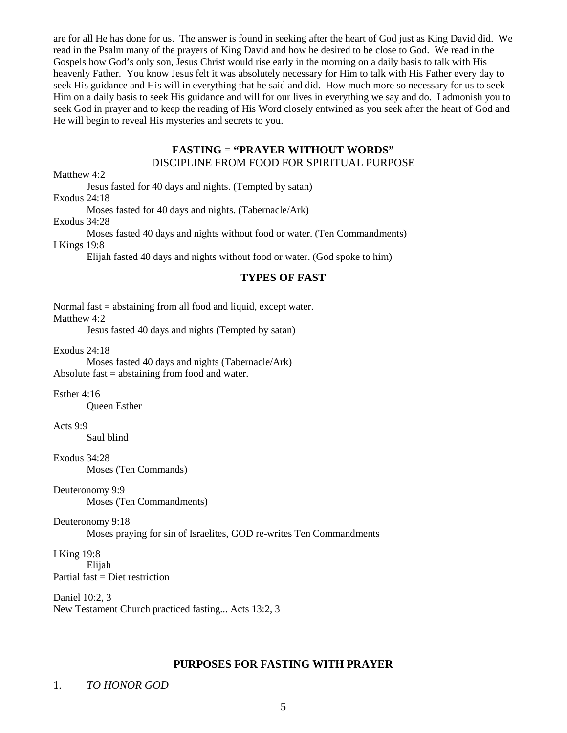are for all He has done for us. The answer is found in seeking after the heart of God just as King David did. We read in the Psalm many of the prayers of King David and how he desired to be close to God. We read in the Gospels how God's only son, Jesus Christ would rise early in the morning on a daily basis to talk with His heavenly Father. You know Jesus felt it was absolutely necessary for Him to talk with His Father every day to seek His guidance and His will in everything that he said and did. How much more so necessary for us to seek Him on a daily basis to seek His guidance and will for our lives in everything we say and do. I admonish you to seek God in prayer and to keep the reading of His Word closely entwined as you seek after the heart of God and He will begin to reveal His mysteries and secrets to you.

#### **FASTING = "PRAYER WITHOUT WORDS"** DISCIPLINE FROM FOOD FOR SPIRITUAL PURPOSE

Matthew 4:2

Jesus fasted for 40 days and nights. (Tempted by satan)

Exodus 24:18

Moses fasted for 40 days and nights. (Tabernacle/Ark)

Exodus 34:28

 Moses fasted 40 days and nights without food or water. (Ten Commandments) I Kings 19:8

Elijah fasted 40 days and nights without food or water. (God spoke to him)

#### **TYPES OF FAST**

Normal fast = abstaining from all food and liquid, except water. Matthew 4:2

Jesus fasted 40 days and nights (Tempted by satan)

Exodus 24:18

 Moses fasted 40 days and nights (Tabernacle/Ark) Absolute fast  $=$  abstaining from food and water.

Esther 4:16

Queen Esther

Acts 9:9

Saul blind

Exodus 34:28

Moses (Ten Commands)

Deuteronomy 9:9

Moses (Ten Commandments)

#### Deuteronomy 9:18

Moses praying for sin of Israelites, GOD re-writes Ten Commandments

I King 19:8 Elijah Partial  $fast = Diet$  restriction

Daniel 10:2, 3 New Testament Church practiced fasting... Acts 13:2, 3

#### **PURPOSES FOR FASTING WITH PRAYER**

#### 1. *TO HONOR GOD*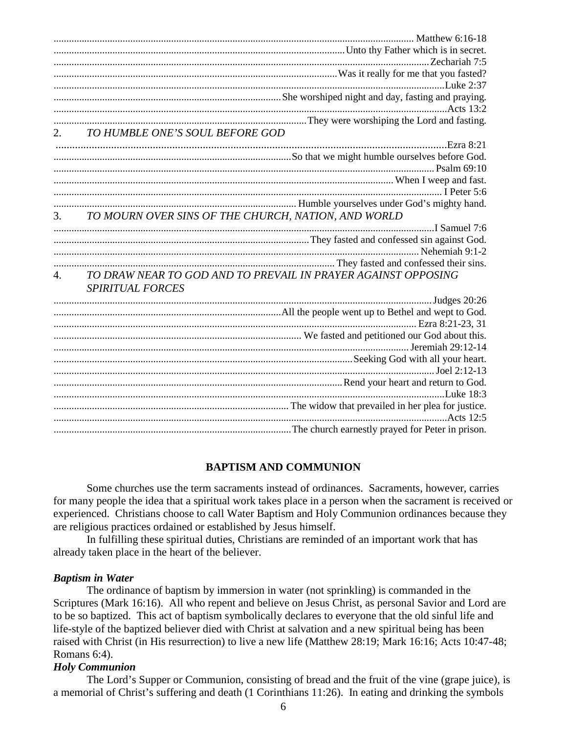|                  | 2. TO HUMBLE ONE'S SOUL BEFORE GOD                            |
|------------------|---------------------------------------------------------------|
|                  |                                                               |
|                  |                                                               |
|                  |                                                               |
|                  |                                                               |
|                  |                                                               |
|                  | Teter 5:6                                                     |
|                  | 3. TO MOURN OVER SINS OF THE CHURCH, NATION, AND WORLD        |
|                  |                                                               |
|                  |                                                               |
|                  |                                                               |
|                  |                                                               |
| $\overline{4}$ . | TO DRAW NEAR TO GOD AND TO PREVAIL IN PRAYER AGAINST OPPOSING |
|                  |                                                               |
|                  | <b>SPIRITUAL FORCES</b>                                       |
|                  |                                                               |
|                  |                                                               |
|                  |                                                               |
|                  |                                                               |
|                  |                                                               |
|                  | Seeking God with all your heart.<br>Ioel 2:12-13              |
|                  |                                                               |
|                  |                                                               |
|                  |                                                               |
|                  |                                                               |
|                  |                                                               |
|                  |                                                               |

#### **BAPTISM AND COMMUNION**

 Some churches use the term sacraments instead of ordinances. Sacraments, however, carries for many people the idea that a spiritual work takes place in a person when the sacrament is received or experienced. Christians choose to call Water Baptism and Holy Communion ordinances because they are religious practices ordained or established by Jesus himself.

 In fulfilling these spiritual duties, Christians are reminded of an important work that has already taken place in the heart of the believer.

#### *Baptism in Water*

 The ordinance of baptism by immersion in water (not sprinkling) is commanded in the Scriptures (Mark 16:16). All who repent and believe on Jesus Christ, as personal Savior and Lord are to be so baptized. This act of baptism symbolically declares to everyone that the old sinful life and life-style of the baptized believer died with Christ at salvation and a new spiritual being has been raised with Christ (in His resurrection) to live a new life (Matthew 28:19; Mark 16:16; Acts 10:47-48; Romans 6:4).

#### *Holy Communion*

 The Lord's Supper or Communion, consisting of bread and the fruit of the vine (grape juice), is a memorial of Christ's suffering and death (1 Corinthians 11:26). In eating and drinking the symbols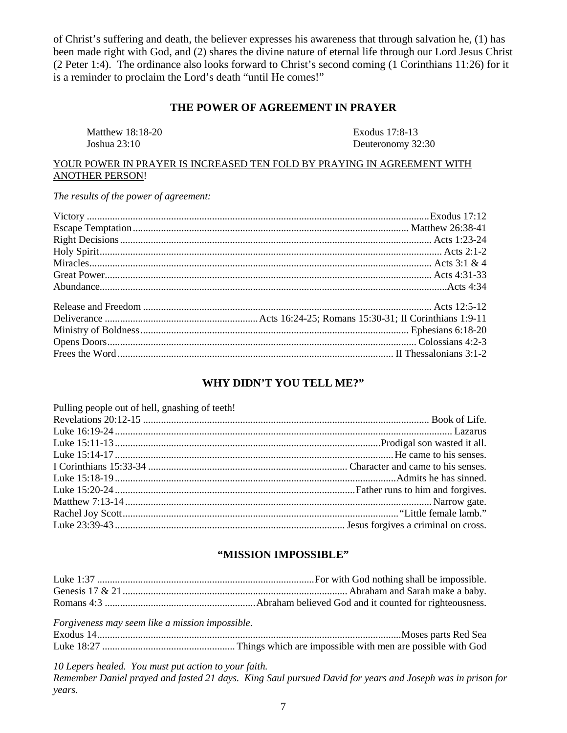of Christ's suffering and death, the believer expresses his awareness that through salvation he, (1) has been made right with God, and (2) shares the divine nature of eternal life through our Lord Jesus Christ (2 Peter 1:4). The ordinance also looks forward to Christ's second coming (1 Corinthians 11:26) for it is a reminder to proclaim the Lord's death "until He comes!"

#### **THE POWER OF AGREEMENT IN PRAYER**

| Matthew 18:18-20 | Exodus 17:8-13    |
|------------------|-------------------|
| Joshua 23:10     | Deuteronomy 32:30 |

#### YOUR POWER IN PRAYER IS INCREASED TEN FOLD BY PRAYING IN AGREEMENT WITH ANOTHER PERSON!

*The results of the power of agreement:*

#### **WHY DIDN'T YOU TELL ME?"**

| Pulling people out of hell, gnashing of teeth! |  |
|------------------------------------------------|--|
|                                                |  |
|                                                |  |
|                                                |  |
|                                                |  |
|                                                |  |
|                                                |  |
|                                                |  |
|                                                |  |
|                                                |  |
|                                                |  |
|                                                |  |

#### **"MISSION IMPOSSIBLE"**

| Forgiveness may seem like a mission impossible. |  |
|-------------------------------------------------|--|
|                                                 |  |
|                                                 |  |

*10 Lepers healed. You must put action to your faith.* 

*Remember Daniel prayed and fasted 21 days. King Saul pursued David for years and Joseph was in prison for years.*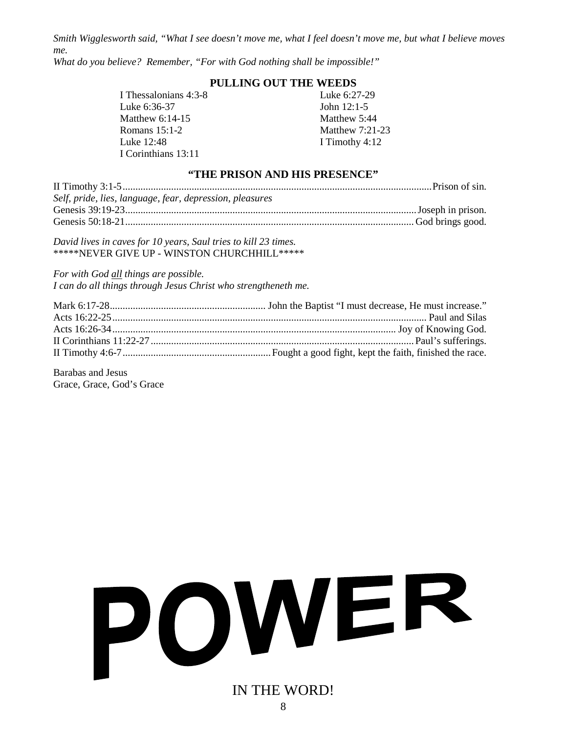*Smith Wigglesworth said, "What I see doesn't move me, what I feel doesn't move me, but what I believe moves me.*

*What do you believe? Remember, "For with God nothing shall be impossible!"*

#### **PULLING OUT THE WEEDS**

I Thessalonians 4:3-8 Luke 6:27-29 Luke 6:36-37 John 12:1-5 Matthew 6:14-15 Matthew 5:44 Romans 15:1-2 Matthew 7:21-23 Luke 12:48 **I** Timothy 4:12 I Corinthians 13:11

#### **"THE PRISON AND HIS PRESENCE"**

| Self, pride, lies, language, fear, depression, pleasures |  |
|----------------------------------------------------------|--|
|                                                          |  |
|                                                          |  |

*David lives in caves for 10 years, Saul tries to kill 23 times.* \*\*\*\*\*NEVER GIVE UP - WINSTON CHURCHHILL\*\*\*\*\*

*For with God all things are possible. I can do all things through Jesus Christ who strengtheneth me.*

Barabas and Jesus Grace, Grace, God's Grace

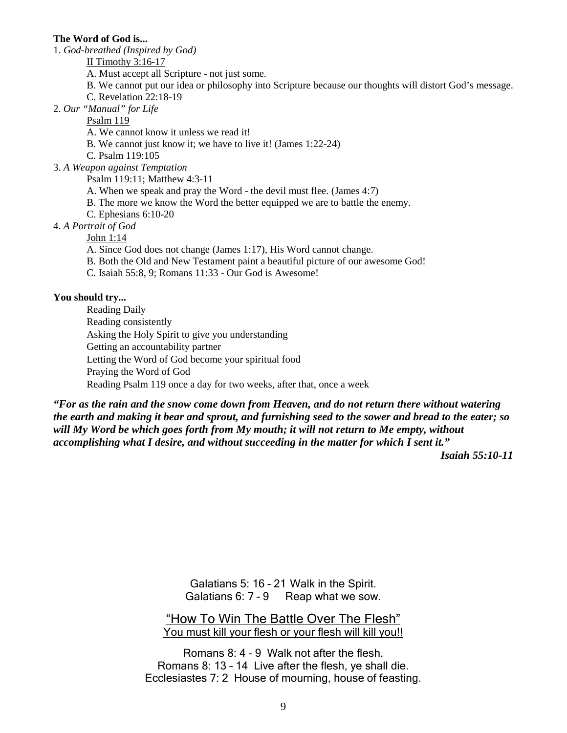#### **The Word of God is...**

1. *God-breathed (Inspired by God)*

II Timothy 3:16-17

A. Must accept all Scripture - not just some.

B. We cannot put our idea or philosophy into Scripture because our thoughts will distort God's message.

C. Revelation 22:18-19

2. *Our "Manual" for Life*

Psalm 119

A. We cannot know it unless we read it!

B. We cannot just know it; we have to live it! (James 1:22-24)

C. Psalm 119:105

3. *A Weapon against Temptation*

Psalm 119:11; Matthew 4:3-11

- A. When we speak and pray the Word the devil must flee. (James 4:7)
- B. The more we know the Word the better equipped we are to battle the enemy.
- C. Ephesians 6:10-20

4. *A Portrait of God*

John 1:14

A. Since God does not change (James 1:17), His Word cannot change.

- B. Both the Old and New Testament paint a beautiful picture of our awesome God!
- C. Isaiah 55:8, 9; Romans 11:33 Our God is Awesome!

#### **You should try...**

 Reading Daily Reading consistently Asking the Holy Spirit to give you understanding Getting an accountability partner Letting the Word of God become your spiritual food Praying the Word of God Reading Psalm 119 once a day for two weeks, after that, once a week

*"For as the rain and the snow come down from Heaven, and do not return there without watering the earth and making it bear and sprout, and furnishing seed to the sower and bread to the eater; so will My Word be which goes forth from My mouth; it will not return to Me empty, without accomplishing what I desire, and without succeeding in the matter for which I sent it."* 

*Isaiah 55:10-11* 

Galatians 5: 16 – 21 Walk in the Spirit. Galatians 6: 7 - 9 Reap what we sow.

"How To Win The Battle Over The Flesh" You must kill your flesh or your flesh will kill you!!

Romans 8: 4 – 9 Walk not after the flesh. Romans 8: 13 – 14 Live after the flesh, ye shall die. Ecclesiastes 7: 2 House of mourning, house of feasting.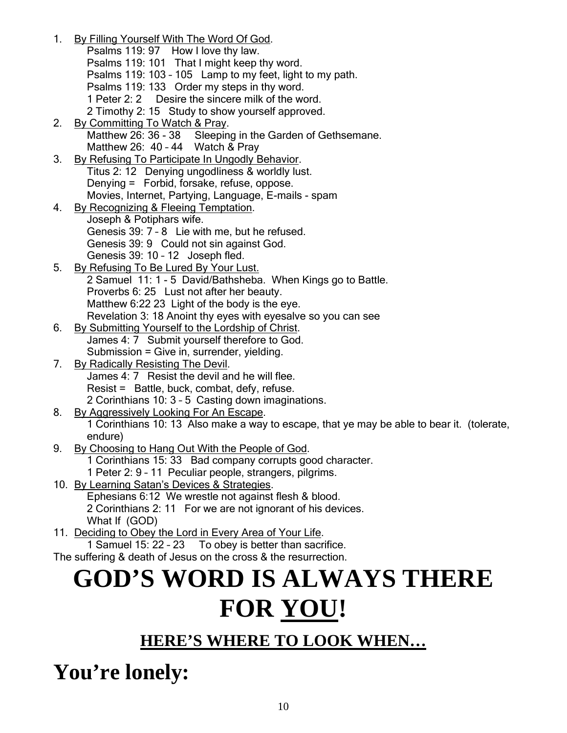- 1. By Filling Yourself With The Word Of God.
- Psalms 119: 97 How I love thy law. Psalms 119: 101 That I might keep thy word. Psalms 119: 103 – 105 Lamp to my feet, light to my path. Psalms 119: 133 Order my steps in thy word. 1 Peter 2: 2 Desire the sincere milk of the word. 2 Timothy 2: 15 Study to show yourself approved. 2. By Committing To Watch & Pray.<br>Matthew 26: 36 - 38 Sleepin Sleeping in the Garden of Gethsemane. Matthew 26: 40 - 44 Watch & Pray 3. By Refusing To Participate In Ungodly Behavior. Titus 2: 12 Denying ungodliness & worldly lust. Denying = Forbid, forsake, refuse, oppose. Movies, Internet, Partying, Language, E-mails - spam 4. By Recognizing & Fleeing Temptation. Joseph & Potiphars wife. Genesis 39: 7 – 8 Lie with me, but he refused. Genesis 39: 9 Could not sin against God. Genesis 39: 10 – 12 Joseph fled. 5. By Refusing To Be Lured By Your Lust. 2 Samuel 11: 1 - 5 David/Bathsheba. When Kings go to Battle. Proverbs 6: 25 Lust not after her beauty. Matthew 6:22 23 Light of the body is the eye. Revelation 3: 18 Anoint thy eyes with eyesalve so you can see 6. By Submitting Yourself to the Lordship of Christ. James 4: 7 Submit yourself therefore to God. Submission = Give in, surrender, yielding. 7. By Radically Resisting The Devil. James 4: 7 Resist the devil and he will flee. Resist = Battle, buck, combat, defy, refuse. 2 Corinthians 10: 3 – 5 Casting down imaginations. 8. By Aggressively Looking For An Escape. 1 Corinthians 10: 13 Also make a way to escape, that ye may be able to bear it. (tolerate, endure) 9. By Choosing to Hang Out With the People of God. 1 Corinthians 15: 33 Bad company corrupts good character. 1 Peter 2: 9 – 11 Peculiar people, strangers, pilgrims. 10. By Learning Satan's Devices & Strategies. Ephesians 6:12 We wrestle not against flesh & blood. 2 Corinthians 2: 11 For we are not ignorant of his devices. What If (GOD) 11. Deciding to Obey the Lord in Every Area of Your Life. 1 Samuel 15: 22 – 23 To obey is better than sacrifice.
- The suffering & death of Jesus on the cross & the resurrection.

# **GOD'S WORD IS ALWAYS THERE FOR YOU!**

### **HERE'S WHERE TO LOOK WHEN…**

**You're lonely:**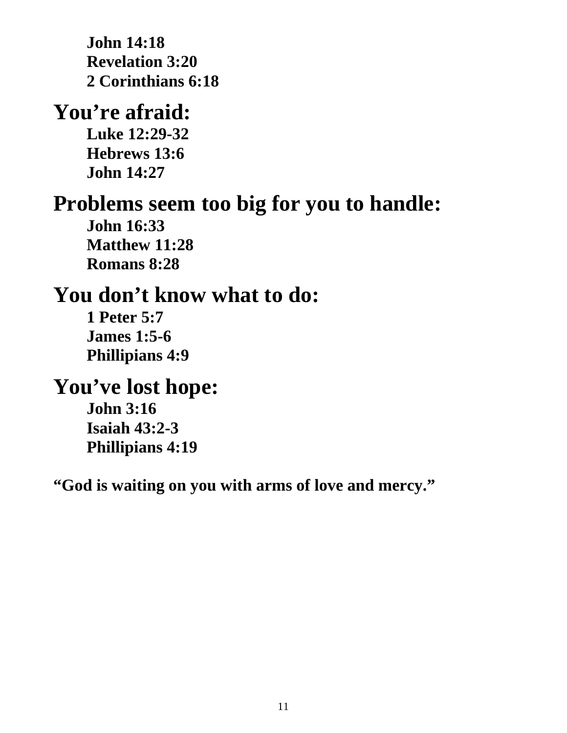**John 14:18 Revelation 3:20 2 Corinthians 6:18** 

### **You're afraid:**

**Luke 12:29-32 Hebrews 13:6 John 14:27** 

### **Problems seem too big for you to handle:**

**John 16:33 Matthew 11:28 Romans 8:28** 

## **You don't know what to do:**

**1 Peter 5:7 James 1:5-6 Phillipians 4:9** 

### **You've lost hope:**

**John 3:16 Isaiah 43:2-3 Phillipians 4:19** 

**"God is waiting on you with arms of love and mercy."**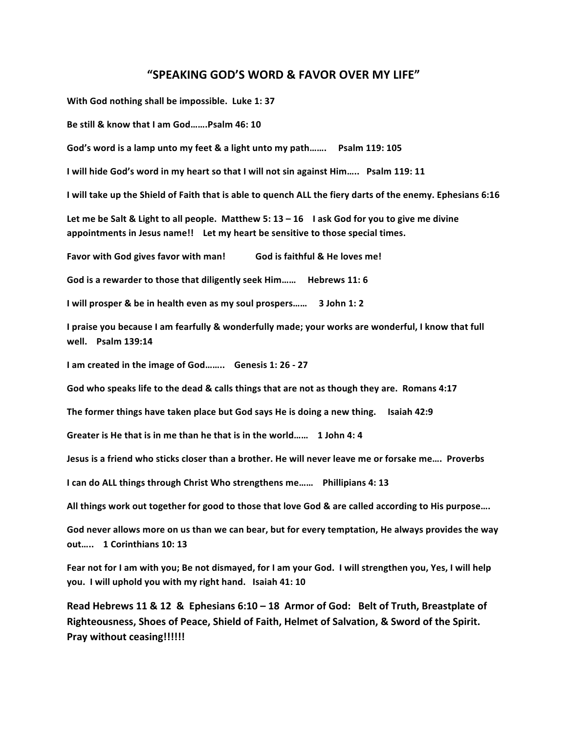#### **"SPEAKING GOD'S WORD & FAVOR OVER MY LIFE"**

With God nothing shall be impossible. Luke 1: 37

Be still & know that I am God ... ... Psalm 46: 10

God's word is a lamp unto my feet & a light unto my path……. Psalm 119: 105

**I** will hide God's word in my heart so that I will not sin against Him..... Psalm 119: 11

**I** will take up the Shield of Faith that is able to quench ALL the fiery darts of the enemy. Ephesians 6:16

Let me be Salt & Light to all people. Matthew 5: 13 - 16 I ask God for you to give me divine appointments in Jesus name!! Let my heart be sensitive to those special times.

**Favor with God gives favor with man!** God is faithful & He loves me!

God is a rewarder to those that diligently seek Him ...... Hebrews 11: 6

**I** will prosper & be in health even as my soul prospers...... 3 John 1: 2

I praise you because I am fearfully & wonderfully made; your works are wonderful, I know that full **well. Psalm 139:14**

**I** am created in the image of God........ Genesis 1: 26 - 27

God who speaks life to the dead & calls things that are not as though they are. Romans 4:17

The former things have taken place but God says He is doing a new thing. Isaiah 42:9

**Greater is He that is in me than he that is in the world……** 1 John 4: 4

Jesus is a friend who sticks closer than a brother. He will never leave me or forsake me.... Proverbs

**I can do ALL things through Christ Who strengthens me...... Phillipians 4: 13** 

All things work out together for good to those that love God & are called according to His purpose....

God never allows more on us than we can bear, but for every temptation, He always provides the way **out….. 1 Corinthians 10: 13**

Fear not for I am with you; Be not dismayed, for I am your God. I will strengthen you, Yes, I will help **you.** I will uphold you with my right hand. Isaiah 41: 10

**Read Hebrews 11 & 12 & Ephesians 6:10 – 18 Armor of God: Belt of Truth, Breastplate of** Righteousness, Shoes of Peace, Shield of Faith, Helmet of Salvation, & Sword of the Spirit. **Pray without ceasing!!!!!!**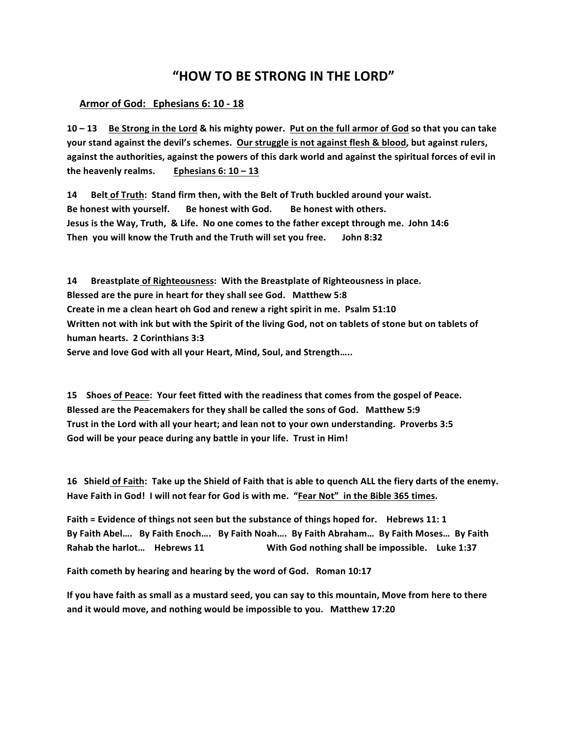### **"HOW%TO%BE%STRONG%IN%THE%LORD"**

#### Armor of God: Ephesians 6: 10 - 18

**10%– 13%%%%%Be%Strong%in%the%Lord &%his%mighty%power.%%Put%on%the%full%armor%of%God so%that%you%can%take%** your stand against the devil's schemes. Our struggle is not against flesh & blood, but against rulers, against the authorities, against the powers of this dark world and against the spiritual forces of evil in the heavenly realms. Ephesians  $6: 10 - 13$ 

14 Belt of Truth: Stand firm then, with the Belt of Truth buckled around your waist. **Be honest with yourself. Be honest with God. Be honest with others.** Jesus is the Way, Truth, & Life. No one comes to the father except through me. John 14:6 Then you will know the Truth and the Truth will set you free. John 8:32

**14 Breastplate of Righteousness: With the Breastplate of Righteousness in place.** Blessed are the pure in heart for they shall see God. Matthew 5:8 Create in me a clean heart oh God and renew a right spirit in me. Psalm 51:10 Written not with ink but with the Spirit of the living God, not on tablets of stone but on tablets of human hearts. 2 Corinthians 3:3 Serve and love God with all your Heart, Mind, Soul, and Strength.....

15 Shoes of Peace: Your feet fitted with the readiness that comes from the gospel of Peace. Blessed are the Peacemakers for they shall be called the sons of God. Matthew 5:9 Trust in the Lord with all your heart; and lean not to your own understanding. Proverbs 3:5 God will be your peace during any battle in your life. Trust in Him!

16 Shield of Faith: Take up the Shield of Faith that is able to quench ALL the fiery darts of the enemy. Have Faith in God! I will not fear for God is with me. "Fear Not" in the Bible 365 times.

Faith = Evidence of things not seen but the substance of things hoped for. Hebrews 11: 1 By Faith Abel …. By Faith Enoch …. By Faith Noah …. By Faith Abraham … By Faith Moses … By Faith **Rahab%the%harlot…%%%%Hebrews%11 %%%%%%%%%%%%%%%%%%%%%%%%%%With%God%nothing%shall%be%impossible.%%%%Luke%1:37**

Faith cometh by hearing and hearing by the word of God. Roman 10:17

If you have faith as small as a mustard seed, you can say to this mountain, Move from here to there and it would move, and nothing would be impossible to you. Matthew 17:20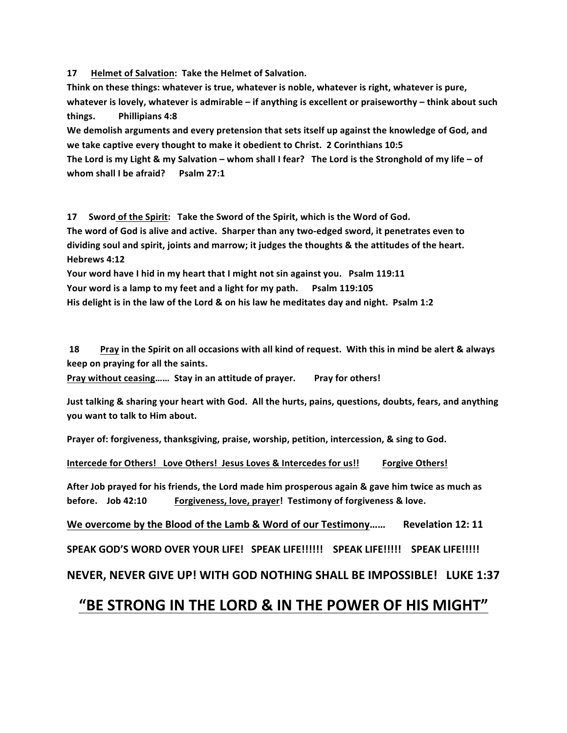17 Helmet of Salvation: Take the Helmet of Salvation.

Think on these things: whatever is true, whatever is noble, whatever is right, whatever is pure, **whatever is lovely, whatever is admirable – if anything is excellent or praiseworthy – think about such** things.  $9$ hillipians 4:8

We demolish arguments and every pretension that sets itself up against the knowledge of God, and we take captive every thought to make it obedient to Christ. 2 Corinthians 10:5

The Lord is my Light & my Salvation – whom shall I fear? The Lord is the Stronghold of my life – of **whom shall I be afraid?** Psalm 27:1

**17 Sword of the Spirit: Take the Sword of the Spirit, which is the Word of God.** The word of God is alive and active. Sharper than any two-edged sword, it penetrates even to dividing soul and spirit, joints and marrow; it judges the thoughts & the attitudes of the heart. Hebrews 4:12

Your word have I hid in my heart that I might not sin against you. Psalm 119:11 Your word is a lamp to my feet and a light for my path. **Psalm 119:105** His delight is in the law of the Lord & on his law he meditates day and night. Psalm 1:2

**18 Bray** in the Spirit on all occasions with all kind of request. With this in mind be alert & always keep on praying for all the saints.

Pray without ceasing...... Stay in an attitude of prayer. Pray for others!

Just talking & sharing your heart with God. All the hurts, pains, questions, doubts, fears, and anything **you want to talk to Him about.** 

**Prayer of: forgiveness, thanksgiving, praise, worship, petition, intercession, & sing to God.** 

**Intercede for Others! Love Others! Jesus Loves & Intercedes for us!! Forgive Others!** 

After Job prayed for his friends, the Lord made him prosperous again & gave him twice as much as before. Job 42:10 Forgiveness, love, prayer! Testimony of forgiveness & love.

We overcome by the Blood of the Lamb & Word of our Testimony…… Revelation 12: 11

SPEAK GOD'S WORD OVER YOUR LIFE! SPEAK LIFE!!!!!! SPEAK LIFE!!!!! SPEAK LIFE!!!!!

**NEVER, NEVER GIVE UP! WITH GOD NOTHING SHALL BE IMPOSSIBLE! LUKE 1:37** 

### **"BE%STRONG%IN%THE%LORD%&%IN%THE%POWER%OF%HIS%MIGHT"**